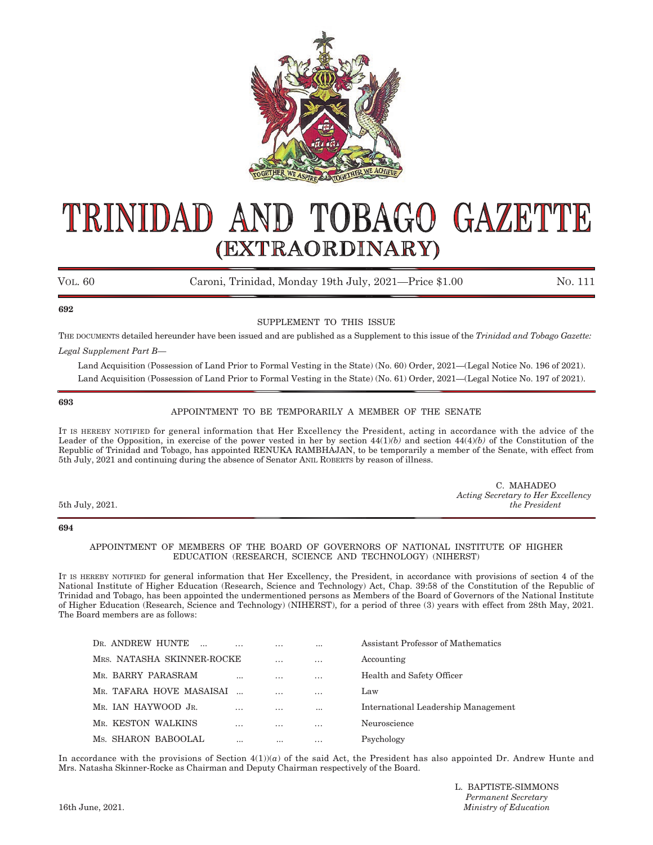

# TOBAGO GAZETTE TRINIDAD AND (EXTRAORDINARY)

VOL. 60 Caroni, Trinidad, Monday 19th July, 2021—Price \$1.00 NO. 111

### **692**

# SUPPLEMENT TO THIS ISSUE

THE DOCUMENTS detailed hereunder have been issued and are published as a Supplement to this issue of the *Trinidad and Tobago Gazette: Legal Supplement Part B—*

Land Acquisition (Possession of Land Prior to Formal Vesting in the State) (No. 60) Order, 2021–(Legal Notice No. 196 of 2021). Land Acquisition (Possession of Land Prior to Formal Vesting in the State) (No. 61) Order, 2021–(Legal Notice No. 197 of 2021).

### **693**

# APPOINTMENT TO BE TEMPORARILY A MEMBER OF THE SENATE

IT IS HEREBY NOTIFIED for general information that Her Excellency the President, acting in accordance with the advice of the Leader of the Opposition, in exercise of the power vested in her by section 44(1)*(b)* and section 44(4)*(b)* of the Constitution of the Republic of Trinidad and Tobago, has appointed RENUKA RAMBHAJAN, to be temporarily a member of the Senate, with effect from 5th July, 2021 and continuing during the absence of Senator ANIL ROBERTS by reason of illness.

|                 | C. MAHADEO                         |
|-----------------|------------------------------------|
|                 | Acting Secretary to Her Excellency |
| 5th July, 2021. | the President                      |
|                 |                                    |

### **694**

### APPOINTMENT OF MEMBERS OF THE BOARD OF GOVERNORS OF NATIONAL INSTITUTE OF HIGHER EDUCATION (RESEARCH, SCIENCE AND TECHNOLOGY) (NIHERST)

IT IS HEREBY NOTIFIED for general information that Her Excellency, the President, in accordance with provisions of section 4 of the National Institute of Higher Education (Research, Science and Technology) Act, Chap. 39:58 of the Constitution of the Republic of Trinidad and Tobago, has been appointed the undermentioned persons as Members of the Board of Governors of the National Institute of Higher Education (Research, Science and Technology) (NIHERST), for a period of three (3) years with effect from 28th May, 2021. The Board members are as follows:

| DR. ANDREW HUNTE           |          |                 | $\cdots$ | Assistant Professor of Mathematics  |
|----------------------------|----------|-----------------|----------|-------------------------------------|
| MRS. NATASHA SKINNER-ROCKE |          | $\cdot$ $\cdot$ | $\cdots$ | Accounting                          |
| MR. BARRY PARASRAM         | $\cdots$ | $\cdots$        | $\cdots$ | Health and Safety Officer           |
| MR. TAFARA HOVE MASAISAI   |          | .               | $\cdots$ | Law                                 |
| MR. JAN HAYWOOD JR.        |          | $\ddotsc$       | $\cdots$ | International Leadership Management |
| MR. KESTON WALKINS         | $\cdots$ |                 | $\cdots$ | Neuroscience                        |
| Ms. SHARON BABOOLAL        |          | $\cdots$        | $\cdots$ | Psychology                          |

In accordance with the provisions of Section  $4(1)(a)$  of the said Act, the President has also appointed Dr. Andrew Hunte and Mrs. Natasha Skinner-Rocke as Chairman and Deputy Chairman respectively of the Board.

L. BAPTISTE-SIMMONS *Permanent Secretary*  16th June, 2021. *Ministry of Education*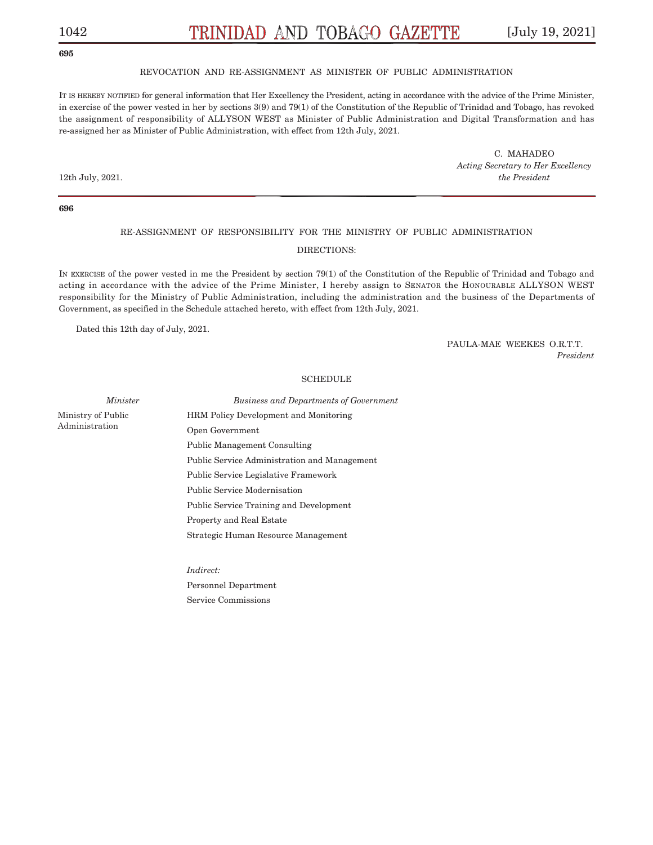# 1042 [July 19, 2021]

## **695**

### REVOCATION AND RE-ASSIGNMENT AS MINISTER OF PUBLIC ADMINISTRATION

IT IS HEREBY NOTIFIED for general information that Her Excellency the President, acting in accordance with the advice of the Prime Minister, in exercise of the power vested in her by sections 3(9) and 79(1) of the Constitution of the Republic of Trinidad and Tobago, has revoked the assignment of responsibility of ALLYSON WEST as Minister of Public Administration and Digital Transformation and has re-assigned her as Minister of Public Administration, with effect from 12th July, 2021.

C. MAHADEO *Acting Secretary to Her Excellency*  12th July, 2021. *the President*

**696**

# RE-ASSIGNMENT OF RESPONSIBILITY FOR THE MINISTRY OF PUBLIC ADMINISTRATION DIRECTIONS:

IN EXERCISE of the power vested in me the President by section 79(1) of the Constitution of the Republic of Trinidad and Tobago and acting in accordance with the advice of the Prime Minister, I hereby assign to SENATOR the HONOURABLE ALLYSON WEST responsibility for the Ministry of Public Administration, including the administration and the business of the Departments of Government, as specified in the Schedule attached hereto, with effect from 12th July, 2021.

Dated this 12th day of July, 2021.

PAULA-MAE WEEKES O.R.T.T. *President* 

#### SCHEDULE

Ministry of Public Administration

*Minister Business and Departments of Government* HRM Policy Development and Monitoring Open Government Public Management Consulting Public Service Administration and Management Public Service Legislative Framework Public Service Modernisation Public Service Training and Development Property and Real Estate Strategic Human Resource Management

> *Indirect:* Personnel Department Service Commissions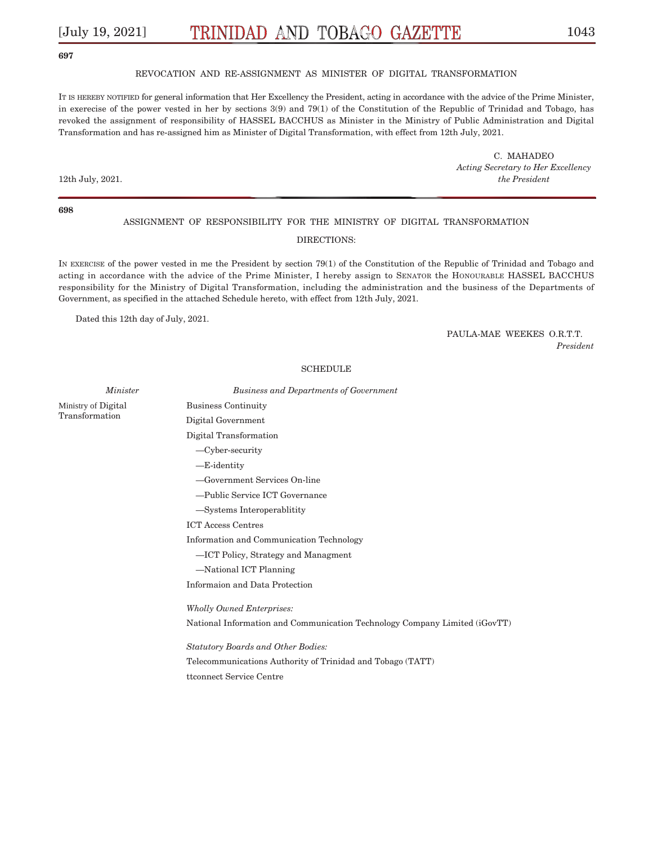### **697**

### REVOCATION AND RE-ASSIGNMENT AS MINISTER OF DIGITAL TRANSFORMATION

IT IS HEREBY NOTIFIED for general information that Her Excellency the President, acting in accordance with the advice of the Prime Minister, in exerecise of the power vested in her by sections 3(9) and 79(1) of the Constitution of the Republic of Trinidad and Tobago, has revoked the assignment of responsibility of HASSEL BACCHUS as Minister in the Ministry of Public Administration and Digital Transformation and has re-assigned him as Minister of Digital Transformation, with effect from 12th July, 2021.

C. MAHADEO *Acting Secretary to Her Excellency*  12th July, 2021. *the President*

**698**

### ASSIGNMENT OF RESPONSIBILITY FOR THE MINISTRY OF DIGITAL TRANSFORMATION

### DIRECTIONS:

IN EXERCISE of the power vested in me the President by section 79(1) of the Constitution of the Republic of Trinidad and Tobago and acting in accordance with the advice of the Prime Minister, I hereby assign to SENATOR the HONOURABLE HASSEL BACCHUS responsibility for the Ministry of Digital Transformation, including the administration and the business of the Departments of Government, as specified in the attached Schedule hereto, with effect from 12th July, 2021.

Dated this 12th day of July, 2021.

PAULA-MAE WEEKES O.R.T.T. *President* 

Ministry of Digital Transformation

SCHEDULE *Minister Business and Departments of Government*  Business Continuity Digital Government Digital Transformation –Cyber-security –E-identity –Government Services On-line –Public Service ICT Governance –Systems Interoperablitity ICT Access Centres Information and Communication Technology –ICT Policy, Strategy and Managment –National ICT Planning Informaion and Data Protection *Wholly Owned Enterprises:* 

National Information and Communication Technology Company Limited (iGovTT)

*Statutory Boards and Other Bodies:* Telecommunications Authority of Trinidad and Tobago (TATT) ttconnect Service Centre